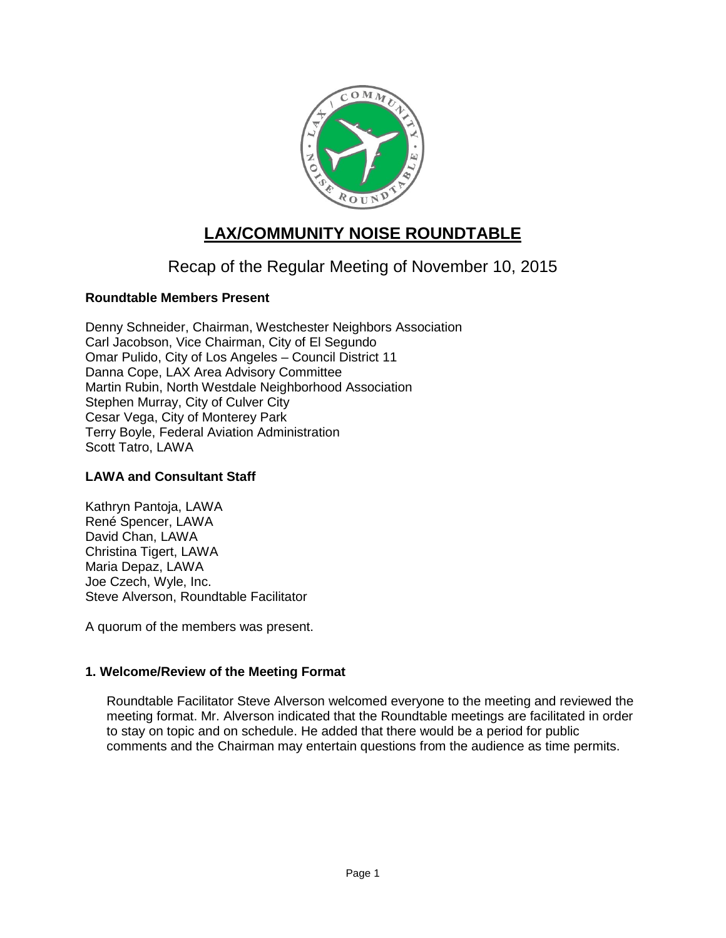

# **LAX/COMMUNITY NOISE ROUNDTABLE**

## Recap of the Regular Meeting of November 10, 2015

## **Roundtable Members Present**

Denny Schneider, Chairman, Westchester Neighbors Association Carl Jacobson, Vice Chairman, City of El Segundo Omar Pulido, City of Los Angeles – Council District 11 Danna Cope, LAX Area Advisory Committee Martin Rubin, North Westdale Neighborhood Association Stephen Murray, City of Culver City Cesar Vega, City of Monterey Park Terry Boyle, Federal Aviation Administration Scott Tatro, LAWA

## **LAWA and Consultant Staff**

Kathryn Pantoja, LAWA René Spencer, LAWA David Chan, LAWA Christina Tigert, LAWA Maria Depaz, LAWA Joe Czech, Wyle, Inc. Steve Alverson, Roundtable Facilitator

A quorum of the members was present.

## **1. Welcome/Review of the Meeting Format**

Roundtable Facilitator Steve Alverson welcomed everyone to the meeting and reviewed the meeting format. Mr. Alverson indicated that the Roundtable meetings are facilitated in order to stay on topic and on schedule. He added that there would be a period for public comments and the Chairman may entertain questions from the audience as time permits.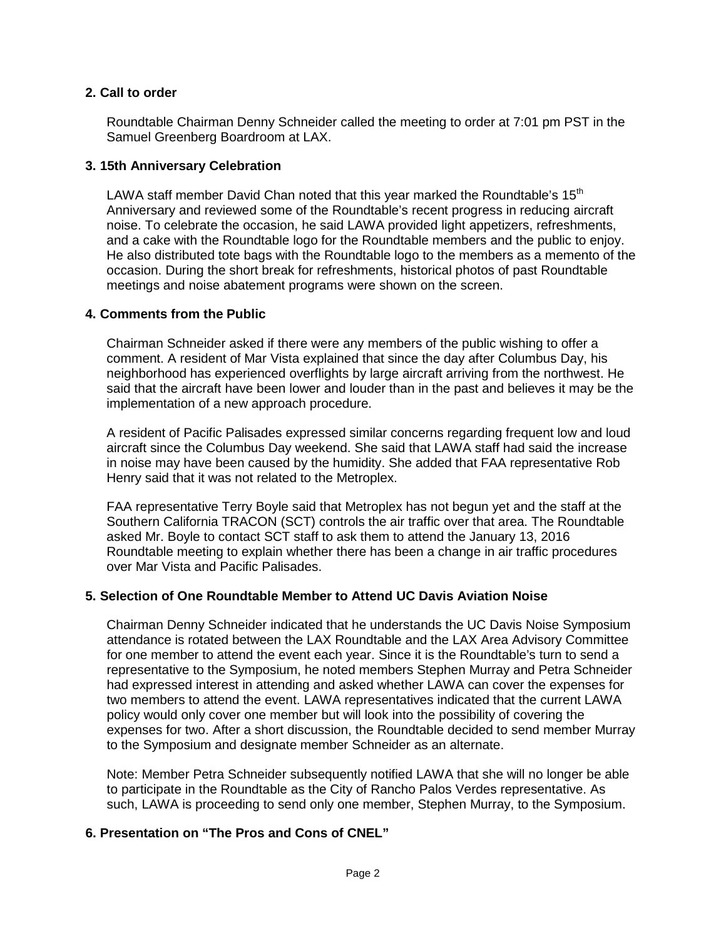## **2. Call to order**

Roundtable Chairman Denny Schneider called the meeting to order at 7:01 pm PST in the Samuel Greenberg Boardroom at LAX.

## **3. 15th Anniversary Celebration**

LAWA staff member David Chan noted that this year marked the Roundtable's 15<sup>th</sup> Anniversary and reviewed some of the Roundtable's recent progress in reducing aircraft noise. To celebrate the occasion, he said LAWA provided light appetizers, refreshments, and a cake with the Roundtable logo for the Roundtable members and the public to enjoy. He also distributed tote bags with the Roundtable logo to the members as a memento of the occasion. During the short break for refreshments, historical photos of past Roundtable meetings and noise abatement programs were shown on the screen.

## **4. Comments from the Public**

Chairman Schneider asked if there were any members of the public wishing to offer a comment. A resident of Mar Vista explained that since the day after Columbus Day, his neighborhood has experienced overflights by large aircraft arriving from the northwest. He said that the aircraft have been lower and louder than in the past and believes it may be the implementation of a new approach procedure.

A resident of Pacific Palisades expressed similar concerns regarding frequent low and loud aircraft since the Columbus Day weekend. She said that LAWA staff had said the increase in noise may have been caused by the humidity. She added that FAA representative Rob Henry said that it was not related to the Metroplex.

FAA representative Terry Boyle said that Metroplex has not begun yet and the staff at the Southern California TRACON (SCT) controls the air traffic over that area. The Roundtable asked Mr. Boyle to contact SCT staff to ask them to attend the January 13, 2016 Roundtable meeting to explain whether there has been a change in air traffic procedures over Mar Vista and Pacific Palisades.

## **5. Selection of One Roundtable Member to Attend UC Davis Aviation Noise**

Chairman Denny Schneider indicated that he understands the UC Davis Noise Symposium attendance is rotated between the LAX Roundtable and the LAX Area Advisory Committee for one member to attend the event each year. Since it is the Roundtable's turn to send a representative to the Symposium, he noted members Stephen Murray and Petra Schneider had expressed interest in attending and asked whether LAWA can cover the expenses for two members to attend the event. LAWA representatives indicated that the current LAWA policy would only cover one member but will look into the possibility of covering the expenses for two. After a short discussion, the Roundtable decided to send member Murray to the Symposium and designate member Schneider as an alternate.

Note: Member Petra Schneider subsequently notified LAWA that she will no longer be able to participate in the Roundtable as the City of Rancho Palos Verdes representative. As such, LAWA is proceeding to send only one member, Stephen Murray, to the Symposium.

## **6. Presentation on "The Pros and Cons of CNEL"**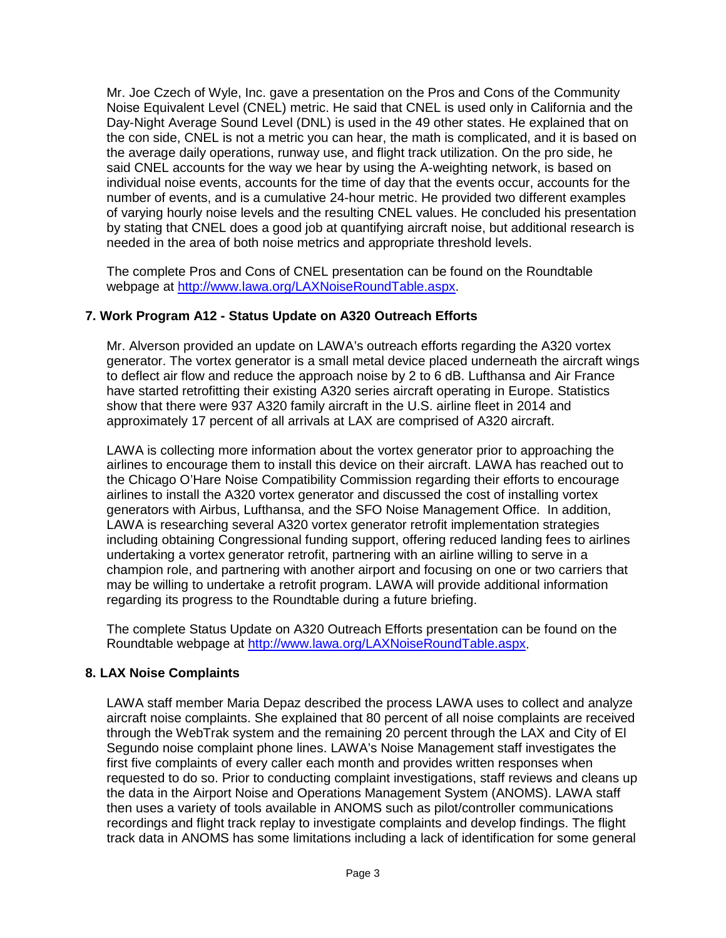Mr. Joe Czech of Wyle, Inc. gave a presentation on the Pros and Cons of the Community Noise Equivalent Level (CNEL) metric. He said that CNEL is used only in California and the Day-Night Average Sound Level (DNL) is used in the 49 other states. He explained that on the con side, CNEL is not a metric you can hear, the math is complicated, and it is based on the average daily operations, runway use, and flight track utilization. On the pro side, he said CNEL accounts for the way we hear by using the A-weighting network, is based on individual noise events, accounts for the time of day that the events occur, accounts for the number of events, and is a cumulative 24-hour metric. He provided two different examples of varying hourly noise levels and the resulting CNEL values. He concluded his presentation by stating that CNEL does a good job at quantifying aircraft noise, but additional research is needed in the area of both noise metrics and appropriate threshold levels.

The complete Pros and Cons of CNEL presentation can be found on the Roundtable webpage at [http://www.lawa.org/LAXNoiseRoundTable.aspx.](http://www.lawa.org/LAXNoiseRoundTable.aspx)

## **7. Work Program A12 - Status Update on A320 Outreach Efforts**

Mr. Alverson provided an update on LAWA's outreach efforts regarding the A320 vortex generator. The vortex generator is a small metal device placed underneath the aircraft wings to deflect air flow and reduce the approach noise by 2 to 6 dB. Lufthansa and Air France have started retrofitting their existing A320 series aircraft operating in Europe. Statistics show that there were 937 A320 family aircraft in the U.S. airline fleet in 2014 and approximately 17 percent of all arrivals at LAX are comprised of A320 aircraft.

LAWA is collecting more information about the vortex generator prior to approaching the airlines to encourage them to install this device on their aircraft. LAWA has reached out to the Chicago O'Hare Noise Compatibility Commission regarding their efforts to encourage airlines to install the A320 vortex generator and discussed the cost of installing vortex generators with Airbus, Lufthansa, and the SFO Noise Management Office. In addition, LAWA is researching several A320 vortex generator retrofit implementation strategies including obtaining Congressional funding support, offering reduced landing fees to airlines undertaking a vortex generator retrofit, partnering with an airline willing to serve in a champion role, and partnering with another airport and focusing on one or two carriers that may be willing to undertake a retrofit program. LAWA will provide additional information regarding its progress to the Roundtable during a future briefing.

The complete Status Update on A320 Outreach Efforts presentation can be found on the Roundtable webpage at [http://www.lawa.org/LAXNoiseRoundTable.aspx.](http://www.lawa.org/LAXNoiseRoundTable.aspx)

## **8. LAX Noise Complaints**

LAWA staff member Maria Depaz described the process LAWA uses to collect and analyze aircraft noise complaints. She explained that 80 percent of all noise complaints are received through the WebTrak system and the remaining 20 percent through the LAX and City of El Segundo noise complaint phone lines. LAWA's Noise Management staff investigates the first five complaints of every caller each month and provides written responses when requested to do so. Prior to conducting complaint investigations, staff reviews and cleans up the data in the Airport Noise and Operations Management System (ANOMS). LAWA staff then uses a variety of tools available in ANOMS such as pilot/controller communications recordings and flight track replay to investigate complaints and develop findings. The flight track data in ANOMS has some limitations including a lack of identification for some general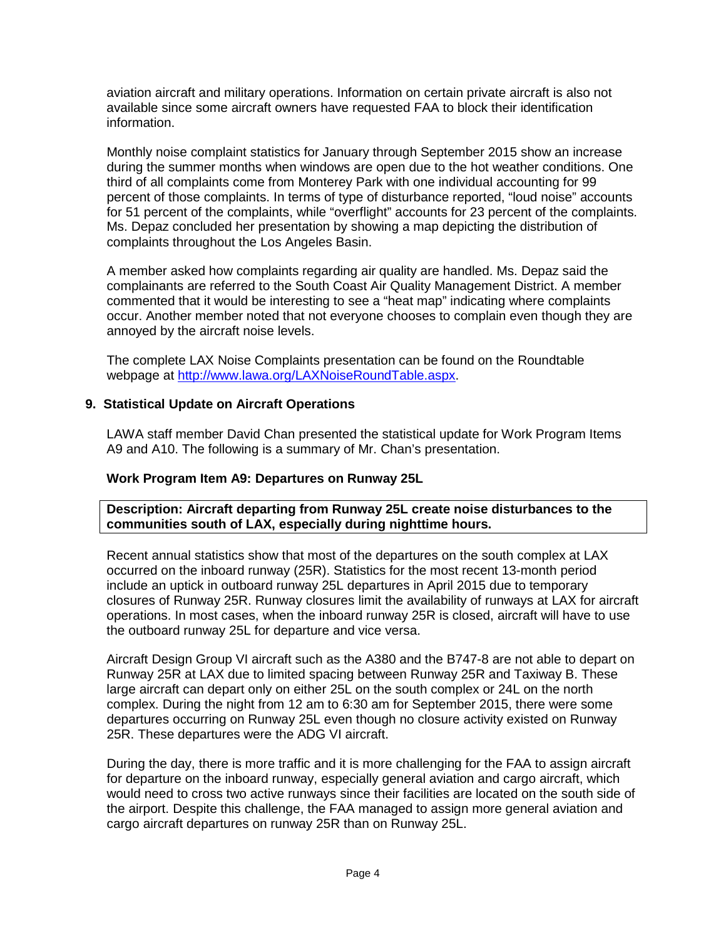aviation aircraft and military operations. Information on certain private aircraft is also not available since some aircraft owners have requested FAA to block their identification information.

Monthly noise complaint statistics for January through September 2015 show an increase during the summer months when windows are open due to the hot weather conditions. One third of all complaints come from Monterey Park with one individual accounting for 99 percent of those complaints. In terms of type of disturbance reported, "loud noise" accounts for 51 percent of the complaints, while "overflight" accounts for 23 percent of the complaints. Ms. Depaz concluded her presentation by showing a map depicting the distribution of complaints throughout the Los Angeles Basin.

A member asked how complaints regarding air quality are handled. Ms. Depaz said the complainants are referred to the South Coast Air Quality Management District. A member commented that it would be interesting to see a "heat map" indicating where complaints occur. Another member noted that not everyone chooses to complain even though they are annoyed by the aircraft noise levels.

The complete LAX Noise Complaints presentation can be found on the Roundtable webpage at [http://www.lawa.org/LAXNoiseRoundTable.aspx.](http://www.lawa.org/LAXNoiseRoundTable.aspx)

## **9. Statistical Update on Aircraft Operations**

LAWA staff member David Chan presented the statistical update for Work Program Items A9 and A10. The following is a summary of Mr. Chan's presentation.

## **Work Program Item A9: Departures on Runway 25L**

**Description: Aircraft departing from Runway 25L create noise disturbances to the communities south of LAX, especially during nighttime hours.**

Recent annual statistics show that most of the departures on the south complex at LAX occurred on the inboard runway (25R). Statistics for the most recent 13-month period include an uptick in outboard runway 25L departures in April 2015 due to temporary closures of Runway 25R. Runway closures limit the availability of runways at LAX for aircraft operations. In most cases, when the inboard runway 25R is closed, aircraft will have to use the outboard runway 25L for departure and vice versa.

Aircraft Design Group VI aircraft such as the A380 and the B747-8 are not able to depart on Runway 25R at LAX due to limited spacing between Runway 25R and Taxiway B. These large aircraft can depart only on either 25L on the south complex or 24L on the north complex. During the night from 12 am to 6:30 am for September 2015, there were some departures occurring on Runway 25L even though no closure activity existed on Runway 25R. These departures were the ADG VI aircraft.

During the day, there is more traffic and it is more challenging for the FAA to assign aircraft for departure on the inboard runway, especially general aviation and cargo aircraft, which would need to cross two active runways since their facilities are located on the south side of the airport. Despite this challenge, the FAA managed to assign more general aviation and cargo aircraft departures on runway 25R than on Runway 25L.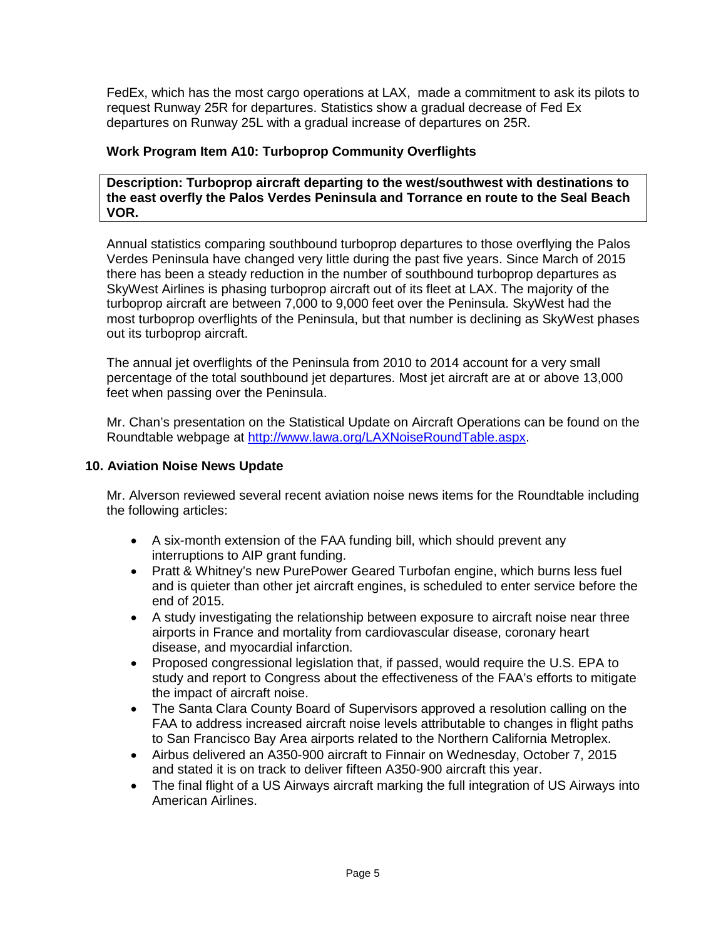FedEx, which has the most cargo operations at LAX, made a commitment to ask its pilots to request Runway 25R for departures. Statistics show a gradual decrease of Fed Ex departures on Runway 25L with a gradual increase of departures on 25R.

## **Work Program Item A10: Turboprop Community Overflights**

**Description: Turboprop aircraft departing to the west/southwest with destinations to the east overfly the Palos Verdes Peninsula and Torrance en route to the Seal Beach VOR.**

Annual statistics comparing southbound turboprop departures to those overflying the Palos Verdes Peninsula have changed very little during the past five years. Since March of 2015 there has been a steady reduction in the number of southbound turboprop departures as SkyWest Airlines is phasing turboprop aircraft out of its fleet at LAX. The majority of the turboprop aircraft are between 7,000 to 9,000 feet over the Peninsula. SkyWest had the most turboprop overflights of the Peninsula, but that number is declining as SkyWest phases out its turboprop aircraft.

The annual jet overflights of the Peninsula from 2010 to 2014 account for a very small percentage of the total southbound jet departures. Most jet aircraft are at or above 13,000 feet when passing over the Peninsula.

Mr. Chan's presentation on the Statistical Update on Aircraft Operations can be found on the Roundtable webpage at [http://www.lawa.org/LAXNoiseRoundTable.aspx.](http://www.lawa.org/LAXNoiseRoundTable.aspx)

#### **10. Aviation Noise News Update**

Mr. Alverson reviewed several recent aviation noise news items for the Roundtable including the following articles:

- A six-month extension of the FAA funding bill, which should prevent any interruptions to AIP grant funding.
- Pratt & Whitney's new PurePower Geared Turbofan engine, which burns less fuel and is quieter than other jet aircraft engines, is scheduled to enter service before the end of 2015.
- A study investigating the relationship between exposure to aircraft noise near three airports in France and mortality from cardiovascular disease, coronary heart disease, and myocardial infarction.
- Proposed congressional legislation that, if passed, would require the U.S. EPA to study and report to Congress about the effectiveness of the FAA's efforts to mitigate the impact of aircraft noise.
- The Santa Clara County Board of Supervisors approved a resolution calling on the FAA to address increased aircraft noise levels attributable to changes in flight paths to San Francisco Bay Area airports related to the Northern California Metroplex.
- Airbus delivered an A350-900 aircraft to Finnair on Wednesday, October 7, 2015 and stated it is on track to deliver fifteen A350-900 aircraft this year.
- The final flight of a US Airways aircraft marking the full integration of US Airways into American Airlines.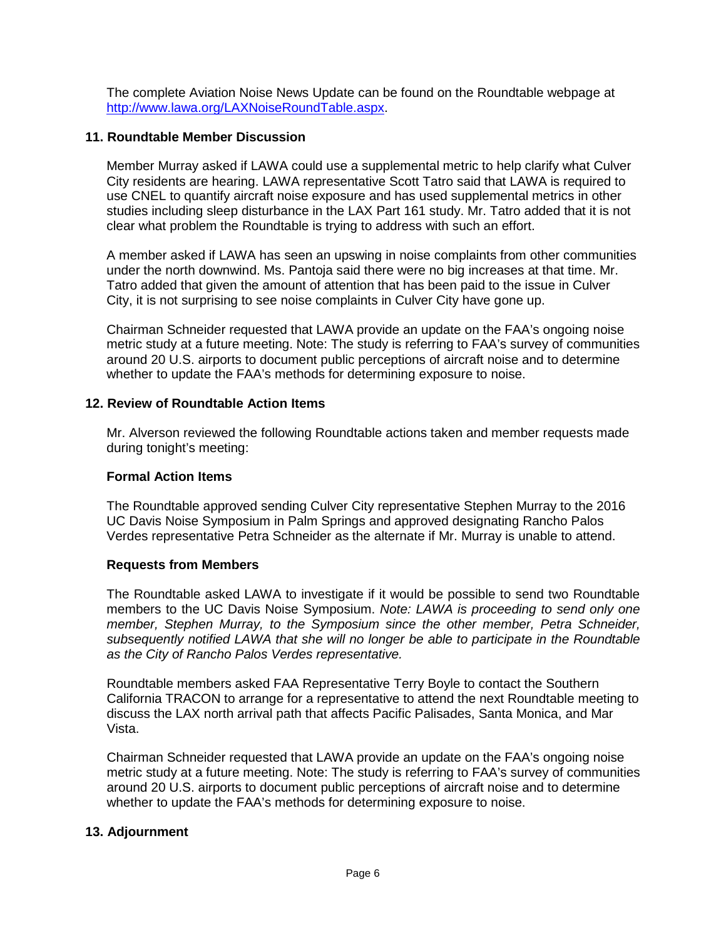The complete Aviation Noise News Update can be found on the Roundtable webpage at [http://www.lawa.org/LAXNoiseRoundTable.aspx.](http://www.lawa.org/LAXNoiseRoundTable.aspx)

## **11. Roundtable Member Discussion**

Member Murray asked if LAWA could use a supplemental metric to help clarify what Culver City residents are hearing. LAWA representative Scott Tatro said that LAWA is required to use CNEL to quantify aircraft noise exposure and has used supplemental metrics in other studies including sleep disturbance in the LAX Part 161 study. Mr. Tatro added that it is not clear what problem the Roundtable is trying to address with such an effort.

A member asked if LAWA has seen an upswing in noise complaints from other communities under the north downwind. Ms. Pantoja said there were no big increases at that time. Mr. Tatro added that given the amount of attention that has been paid to the issue in Culver City, it is not surprising to see noise complaints in Culver City have gone up.

Chairman Schneider requested that LAWA provide an update on the FAA's ongoing noise metric study at a future meeting. Note: The study is referring to FAA's survey of communities around 20 U.S. airports to document public perceptions of aircraft noise and to determine whether to update the FAA's methods for determining exposure to noise.

## **12. Review of Roundtable Action Items**

Mr. Alverson reviewed the following Roundtable actions taken and member requests made during tonight's meeting:

## **Formal Action Items**

The Roundtable approved sending Culver City representative Stephen Murray to the 2016 UC Davis Noise Symposium in Palm Springs and approved designating Rancho Palos Verdes representative Petra Schneider as the alternate if Mr. Murray is unable to attend.

## **Requests from Members**

The Roundtable asked LAWA to investigate if it would be possible to send two Roundtable members to the UC Davis Noise Symposium. *Note: LAWA is proceeding to send only one member, Stephen Murray, to the Symposium since the other member, Petra Schneider, subsequently notified LAWA that she will no longer be able to participate in the Roundtable as the City of Rancho Palos Verdes representative.*

Roundtable members asked FAA Representative Terry Boyle to contact the Southern California TRACON to arrange for a representative to attend the next Roundtable meeting to discuss the LAX north arrival path that affects Pacific Palisades, Santa Monica, and Mar Vista.

Chairman Schneider requested that LAWA provide an update on the FAA's ongoing noise metric study at a future meeting. Note: The study is referring to FAA's survey of communities around 20 U.S. airports to document public perceptions of aircraft noise and to determine whether to update the FAA's methods for determining exposure to noise.

## **13. Adjournment**